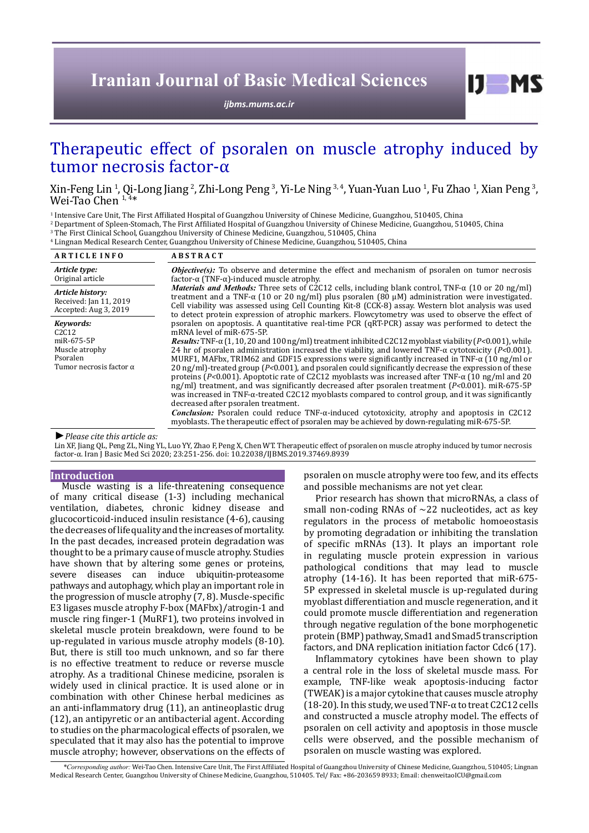# **Iranian Journal of Basic Medical Sciences**

*[ijbms.mums.ac.ir](http://ijbms.mums.ac.ir)*

# Therapeutic effect of psoralen on muscle atrophy induced by tumor necrosis factor-α

Xin-Feng Lin <sup>1</sup>, Qi-Long Jiang <sup>2</sup>, Zhi-Long Peng <sup>3</sup>, Yi-Le Ning <sup>3, 4</sup>, Yuan-Yuan Luo <sup>1</sup>, Fu Zhao <sup>1</sup>, Xian Peng <sup>3</sup>,<br>Wei-Tao Chen <sup>1, 4</sup>\*

<sup>1</sup> Intensive Care Unit, The First Affiliated Hospital of Guangzhou University of Chinese Medicine, Guangzhou, 510405, China

2 Department of Spleen-Stomach, The First Affiliated Hospital of Guangzhou University of Chinese Medicine, Guangzhou, 510405, China

3 The First Clinical School, Guangzhou University of Chinese Medicine, Guangzhou, 510405, China

4 Lingnan Medical Research Center, Guangzhou University of Chinese Medicine, Guangzhou, 510405, China

| <b>ARTICLE INFO</b>                                                                                                       | <b>ABSTRACT</b>                                                                                                                                                                                                                                                                                                                                                                                                                                                                                                                                                                                                                                                                                                                                                                                                                                                                                                                                                                                                                                                                                                                                                                                                                                                                                                                                                                                                                                                                                                                                                                                                                                                                                                                                                                                                   |
|---------------------------------------------------------------------------------------------------------------------------|-------------------------------------------------------------------------------------------------------------------------------------------------------------------------------------------------------------------------------------------------------------------------------------------------------------------------------------------------------------------------------------------------------------------------------------------------------------------------------------------------------------------------------------------------------------------------------------------------------------------------------------------------------------------------------------------------------------------------------------------------------------------------------------------------------------------------------------------------------------------------------------------------------------------------------------------------------------------------------------------------------------------------------------------------------------------------------------------------------------------------------------------------------------------------------------------------------------------------------------------------------------------------------------------------------------------------------------------------------------------------------------------------------------------------------------------------------------------------------------------------------------------------------------------------------------------------------------------------------------------------------------------------------------------------------------------------------------------------------------------------------------------------------------------------------------------|
| Article type:<br>Original article                                                                                         | <b><i>Objective(s)</i></b> : To observe and determine the effect and mechanism of psoralen on tumor necrosis<br>factor- $\alpha$ (TNF- $\alpha$ )-induced muscle atrophy.<br><i>Materials and Methods:</i> Three sets of C2C12 cells, including blank control, TNF- $\alpha$ (10 or 20 ng/ml)<br>treatment and a TNF- $\alpha$ (10 or 20 ng/ml) plus psoralen (80 $\mu$ M) administration were investigated.<br>Cell viability was assessed using Cell Counting Kit-8 (CCK-8) assay. Western blot analysis was used<br>to detect protein expression of atrophic markers. Flowcytometry was used to observe the effect of<br>psoralen on apoptosis. A quantitative real-time PCR (qRT-PCR) assay was performed to detect the<br>mRNA level of miR-675-5P.<br>$\textit{Results:}$ TNF- $\alpha$ (1, 10, 20 and 100 ng/ml) treatment inhibited C2C12 myoblast viability (P<0.001), while<br>24 hr of psoralen administration increased the viability, and lowered TNF- $\alpha$ cytotoxicity (P<0.001).<br>MURF1, MAFbx, TRIM62 and GDF15 expressions were significantly increased in TNF- $\alpha$ (10 ng/ml or<br>20 ng/ml)-treated group ( $P<0.001$ ), and psoralen could significantly decrease the expression of these<br>proteins (P<0.001). Apoptotic rate of C2C12 myoblasts was increased after TNF- $\alpha$ (10 ng/ml and 20<br>ng/ml) treatment, and was significantly decreased after psoralen treatment $(P<0.001)$ . miR-675-5P<br>was increased in TNF- $\alpha$ -treated C2C12 myoblasts compared to control group, and it was significantly<br>decreased after psoralen treatment.<br><b>Conclusion:</b> Psoralen could reduce $TNF-\alpha$ -induced cytotoxicity, atrophy and apoptosis in C2C12<br>myoblasts. The therapeutic effect of psoralen may be achieved by down-regulating miR-675-5P. |
| Article history:<br>Received: Jan 11, 2019<br>Accepted: Aug 3, 2019                                                       |                                                                                                                                                                                                                                                                                                                                                                                                                                                                                                                                                                                                                                                                                                                                                                                                                                                                                                                                                                                                                                                                                                                                                                                                                                                                                                                                                                                                                                                                                                                                                                                                                                                                                                                                                                                                                   |
| Kevwords:<br>C <sub>2</sub> C <sub>12</sub><br>miR-675-5P<br>Muscle atrophy<br>Psoralen<br>Tumor necrosis factor $\alpha$ |                                                                                                                                                                                                                                                                                                                                                                                                                                                                                                                                                                                                                                                                                                                                                                                                                                                                                                                                                                                                                                                                                                                                                                                                                                                                                                                                                                                                                                                                                                                                                                                                                                                                                                                                                                                                                   |

*►Please cite this article as:*

Lin XF, Jiang QL, Peng ZL, Ning YL, Luo YY, Zhao F, Peng X, Chen WT. Therapeutic effect of psoralen on muscle atrophy induced by tumor necrosis factor-α. Iran J Basic Med Sci 2020; 23:251-256. doi: 10.22038/IJBMS.2019.37469.8939

#### **Introduction**

Muscle wasting is a life-threatening consequence of many critical disease (1-3) including mechanical ventilation, diabetes, chronic kidney disease and glucocorticoid-induced insulin resistance (4-6), causing the decreases of life quality and the increases of mortality. In the past decades, increased protein degradation was thought to be a primary cause of muscle atrophy. Studies have shown that by altering some genes or proteins, severe diseases can induce ubiquitin-proteasome pathways and autophagy, which play an important role in the progression of muscle atrophy (7, 8). Muscle-specific E3 ligases muscle atrophy F-box (MAFbx)/atrogin-1 and muscle ring finger-1 (MuRF1), two proteins involved in skeletal muscle protein breakdown, were found to be up-regulated in various muscle atrophy models (8-10). But, there is still too much unknown, and so far there is no effective treatment to reduce or reverse muscle atrophy. As a traditional Chinese medicine, psoralen is widely used in clinical practice. It is used alone or in combination with other Chinese herbal medicines as an anti-inflammatory drug (11), an antineoplastic drug (12), an antipyretic or an antibacterial agent. According to studies on the pharmacological effects of psoralen, we speculated that it may also has the potential to improve muscle atrophy; however, observations on the effects of

psoralen on muscle atrophy were too few, and its effects and possible mechanisms are not yet clear.

 $I$   $I$   $M$   $S$ 

Prior research has shown that microRNAs, a class of small non-coding RNAs of  $\sim$ 22 nucleotides, act as key regulators in the process of metabolic homoeostasis by promoting degradation or inhibiting the translation of specific mRNAs (13). It plays an important role in regulating muscle protein expression in various pathological conditions that may lead to muscle atrophy (14-16). It has been reported that miR-675- 5P expressed in skeletal muscle is up-regulated during myoblast differentiation and muscle regeneration, and it could promote muscle differentiation and regeneration through negative regulation of the bone morphogenetic protein (BMP) pathway, Smad1 and Smad5 transcription factors, and DNA replication initiation factor Cdc6 (17).

Inflammatory cytokines have been shown to play a central role in the loss of skeletal muscle mass. For example, TNF-like weak apoptosis-inducing factor (TWEAK) is a major cytokine that causes muscle atrophy (18-20). In this study, we used TNF- $\alpha$  to treat C2C12 cells and constructed a muscle atrophy model. The effects of psoralen on cell activity and apoptosis in those muscle cells were observed, and the possible mechanism of psoralen on muscle wasting was explored.

 *\*Corresponding author:* Wei-Tao Chen. Intensive Care Unit, The First Affiliated Hospital of Guangzhou University of Chinese Medicine, Guangzhou, 510405; Lingnan Medical Research Center, Guangzhou University of Chinese Medicine, Guangzhou, 510405. Tel/ Fax: +86-203659 8933; Email: chenweitaoICU@gmail.com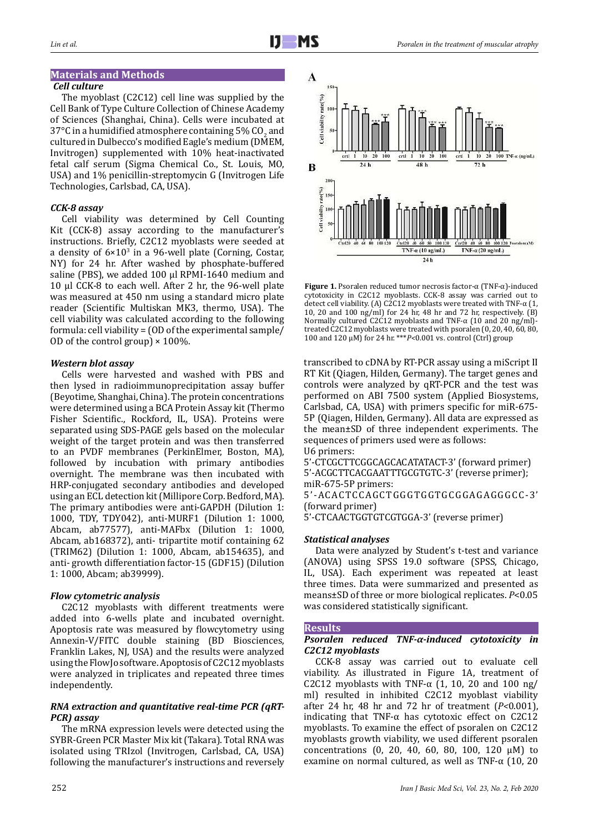# **Materials and Methods**

#### *Cell culture*

The myoblast (C2C12) cell line was supplied by the Cell Bank of Type Culture Collection of Chinese Academy of Sciences (Shanghai, China). Cells were incubated at  $37^{\circ}$ C in a humidified atmosphere containing 5% CO<sub>2</sub> and cultured in Dulbecco's modified Eagle's medium (DMEM, Invitrogen) supplemented with 10% heat-inactivated fetal calf serum (Sigma Chemical Co., St. Louis, MO, USA) and 1% penicillin-streptomycin G (Invitrogen Life Technologies, Carlsbad, CA, USA).

# *CCK-8 assay*

Cell viability was determined by Cell Counting Kit (CCK-8) assay according to the manufacturer's instructions. Briefly, C2C12 myoblasts were seeded at a density of  $6\times10^3$  in a 96-well plate (Corning, Costar, NY) for 24 hr. After washed by phosphate-buffered saline (PBS), we added 100 μl RPMI-1640 medium and 10 μl CCK-8 to each well. After 2 hr, the 96-well plate was measured at 450 nm using a standard micro plate reader (Scientific Multiskan MK3, thermo, USA). The cell viability was calculated according to the following formula: cell viability = (OD of the experimental sample/ OD of the control group)  $\times$  100%.

# *Western blot assay*

Cells were harvested and washed with PBS and then lysed in radioimmunoprecipitation assay buffer (Beyotime, Shanghai, China). The protein concentrations were determined using a BCA Protein Assay kit (Thermo Fisher Scientific., Rockford, IL, USA). Proteins were separated using SDS-PAGE gels based on the molecular weight of the target protein and was then transferred to an PVDF membranes (PerkinElmer, Boston, MA), followed by incubation with primary antibodies overnight. The membrane was then incubated with HRP-conjugated secondary antibodies and developed using an ECL detection kit (Millipore Corp. Bedford, MA). The primary antibodies were anti-GAPDH (Dilution 1: 1000, TDY, TDY042), anti-MURF1 (Dilution 1: 1000, Abcam, ab77577), anti-MAFbx (Dilution 1: 1000, Abcam, ab168372), anti- tripartite motif containing 62 (TRIM62) (Dilution 1: 1000, Abcam, ab154635), and anti- growth differentiation factor-15 (GDF15) (Dilution 1: 1000, Abcam; ab39999).

# *Flow cytometric analysis*

C2C12 myoblasts with different treatments were added into 6-wells plate and incubated overnight. Apoptosis rate was measured by flowcytometry using Annexin-V/FITC double staining (BD Biosciences, Franklin Lakes, NJ, USA) and the results were analyzed using the FlowJo software. Apoptosis of C2C12 myoblasts were analyzed in triplicates and repeated three times independently.

#### *RNA extraction and quantitative real-time PCR (qRT-PCR) assay*

The mRNA expression levels were detected using the SYBR-Green PCR Master Mix kit (Takara). Total RNA was isolated using TRIzol (Invitrogen, Carlsbad, CA, USA) following the manufacturer's instructions and reversely



**Figure 1.** Psoralen reduced tumor necrosis factor-α (TNF-α)-induced cytotoxicity in C2C12 myoblasts. CCK-8 assay was carried out to detect cell viability. (A) C2C12 myoblasts were treated with TNF-α (1, 10, 20 and 100 ng/ml) for 24 hr, 48 hr and 72 hr, respectively. (B) Normally cultured C2C12 myoblasts and TNF-α (10 and 20 ng/ml) treated C2C12 myoblasts were treated with psoralen (0, 20, 40, 60, 80, 100 and 120 μM) for 24 hr. \*\*\**P<*0.001 vs. control (Ctrl) group

transcribed to cDNA by RT-PCR assay using a miScript II RT Kit (Qiagen, Hilden, Germany). The target genes and controls were analyzed by qRT-PCR and the test was performed on ABI 7500 system (Applied Biosystems, Carlsbad, CA, USA) with primers specific for miR-675- 5P (Qiagen, Hilden, Germany). All data are expressed as the mean±SD of three independent experiments. The sequences of primers used were as follows: U6 primers:

5'-CTCGCTTCGGCAGCACATATACT-3' (forward primer) 5'-ACGCTTCACGAATTTGCGTGTC-3' (reverse primer); miR-675-5P primers: 5'-ACACTCCAGCTGGGTGGTGCGGAGAGGGCC-3'

(forward primer)

5'-CTCAACTGGTGTCGTGGA-3' (reverse primer)

# *Statistical analyses*

Data were analyzed by Student's t-test and variance (ANOVA) using SPSS 19.0 software (SPSS, Chicago, IL, USA). Each experiment was repeated at least three times. Data were summarized and presented as means±SD of three or more biological replicates. *P*<0.05 was considered statistically significant.

# **Results**

#### *Psoralen reduced TNF-α-induced cytotoxicity in C2C12 myoblasts*

CCK-8 assay was carried out to evaluate cell viability. As illustrated in Figure 1A, treatment of C2C12 myoblasts with TNF- $\alpha$  (1, 10, 20 and 100 ng/ ml) resulted in inhibited C2C12 myoblast viability after 24 hr, 48 hr and 72 hr of treatment (*P<*0.001), indicating that TNF- $\alpha$  has cytotoxic effect on C2C12 myoblasts. To examine the effect of psoralen on C2C12 myoblasts growth viability, we used different psoralen concentrations (0, 20, 40, 60, 80, 100, 120 μM) to examine on normal cultured, as well as TNF- $α$  (10, 20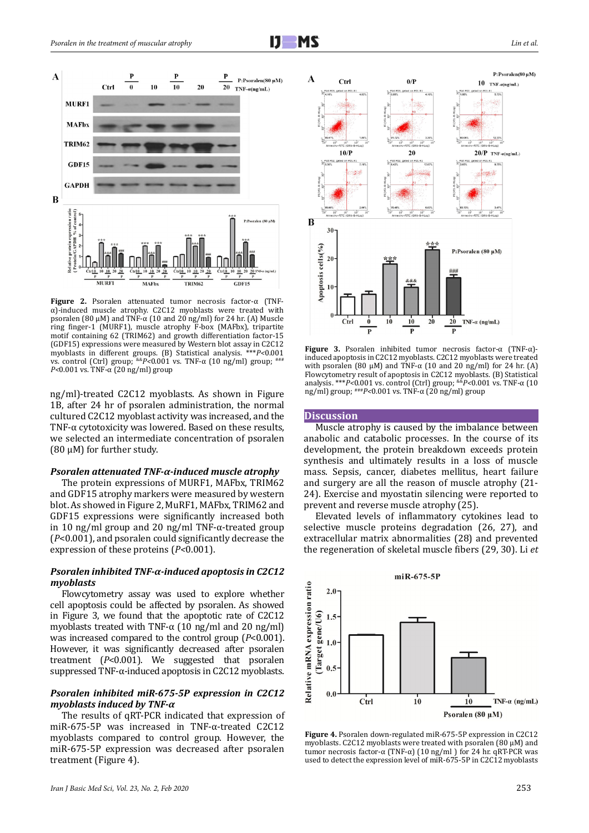



**Figure 2.** Psoralen attenuated tumor necrosis factor-α (TNFα)-induced muscle atrophy. C2C12 myoblasts were treated with psoralen (80 μM) and TNF-α (10 and 20 ng/ml) for 24 hr. (A) Muscle ring finger-1 (MURF1), muscle atrophy F-box (MAFbx), tripartite motif containing 62 (TRIM62) and growth differentiation factor-15 (GDF15) expressions were measured by Western blot assay in C2C12 myoblasts in different groups. (B) Statistical analysis. \*\*\**P<*0.001 vs. control (Ctrl) group; <sup>&&*P<*0.001 vs. TNF-α (10 ng/ml) group; <sup>+</sup></sup> *P<*0.001 vs. TNF-α (20 ng/ml) group

ng/ml)-treated C2C12 myoblasts. As shown in Figure 1B, after 24 hr of psoralen administration, the normal cultured C2C12 myoblast activity was increased, and the TNF- $\alpha$  cytotoxicity was lowered. Based on these results, we selected an intermediate concentration of psoralen (80 μM) for further study.

#### *Psoralen attenuated TNF-α-induced muscle atrophy*

The protein expressions of MURF1, MAFbx, TRIM62 and GDF15 atrophy markers were measured by western blot. As showed in Figure 2, MuRF1, MAFbx, TRIM62 and GDF15 expressions were significantly increased both in 10 ng/ml group and 20 ng/ml TNF-α-treated group (*P*<0.001), and psoralen could significantly decrease the expression of these proteins (*P<*0.001).

#### *Psoralen inhibited TNF-α-induced apoptosis in C2C12 myoblasts*

Flowcytometry assay was used to explore whether cell apoptosis could be affected by psoralen. As showed in Figure 3, we found that the apoptotic rate of C2C12 myoblasts treated with TNF- $\alpha$  (10 ng/ml and 20 ng/ml) was increased compared to the control group (*P*<0.001). However, it was significantly decreased after psoralen treatment (*P*<0.001). We suggested that psoralen suppressed TNF-α-induced apoptosis in C2C12 myoblasts.

#### *Psoralen inhibited miR-675-5P expression in C2C12 myoblasts induced by TNF-α*

The results of qRT-PCR indicated that expression of miR-675-5P was increased in TNF-α-treated C2C12 myoblasts compared to control group. However, the miR-675-5P expression was decreased after psoralen treatment (Figure 4).



**Figure 3.** Psoralen inhibited tumor necrosis factor-α (TNF-α) induced apoptosis in C2C12 myoblasts. C2C12 myoblasts were treated with psoralen (80 μM) and TNF- $\alpha$  (10 and 20 ng/ml) for 24 hr. (A) Flowcytometry result of apoptosis in C2C12 myoblasts. (B) Statistical analysis. \*\*\**P<*0.001 vs. control (Ctrl) group; &&*P<*0.001 vs. TNF-α (10 ng/ml) group; ###*P<*0.001 vs. TNF-α (20 ng/ml) group

#### **Discussion**

Muscle atrophy is caused by the imbalance between anabolic and catabolic processes. In the course of its development, the protein breakdown exceeds protein synthesis and ultimately results in a loss of muscle mass. Sepsis, cancer, diabetes mellitus, heart failure and surgery are all the reason of muscle atrophy (21- 24). Exercise and myostatin silencing were reported to prevent and reverse muscle atrophy (25).

Elevated levels of inflammatory cytokines lead to selective muscle proteins degradation (26, 27), and extracellular matrix abnormalities (28) and prevented the regeneration of skeletal muscle fibers (29, 30). Li *et* 



**Figure 4.** Psoralen down-regulated miR-675-5P expression in C2C12 myoblasts. C2C12 myoblasts were treated with psoralen (80 μM) and tumor necrosis factor-α (TNF-α) (10 ng/ml ) for 24 hr. qRT-PCR was used to detect the expression level of miR-675-5P in C2C12 myoblasts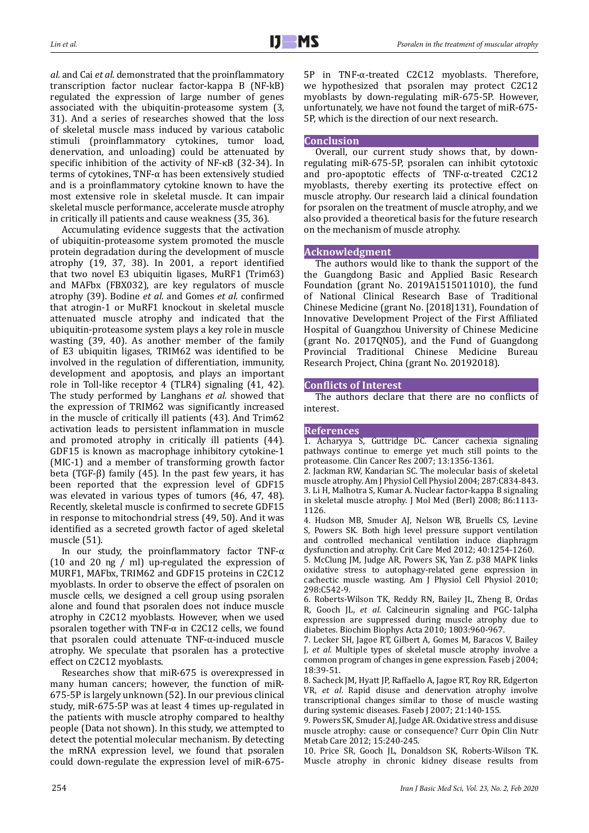*al.* and Cai *et al.* demonstrated that the proinflammatory transcription factor nuclear factor-kappa B (NF-kB) regulated the expression of large number of genes associated with the ubiquitin-proteasome system (3, 31). And a series of researches showed that the loss of skeletal muscle mass induced by various catabolic stimuli (proinflammatory cytokines, tumor load, denervation, and unloading) could be attenuated by specific inhibition of the activity of NF-κB (32-34). In terms of cytokines, TNF-α has been extensively studied and is a proinflammatory cytokine known to have the most extensive role in skeletal muscle. It can impair skeletal muscle performance, accelerate muscle atrophy in critically ill patients and cause weakness (35, 36).

Accumulating evidence suggests that the activation of ubiquitin-proteasome system promoted the muscle protein degradation during the development of muscle atrophy (19, 37, 38). In 2001, a report identified that two novel E3 ubiquitin ligases, MuRF1 (Trim63) and MAFbx (FBX032), are key regulators of muscle atrophy (39). Bodine *et al.* and Gomes *et al.* confirmed that atrogin-1 or MuRF1 knockout in skeletal muscle attenuated muscle atrophy and indicated that the ubiquitin-proteasome system plays a key role in muscle wasting (39, 40). As another member of the family of E3 ubiquitin ligases, TRIM62 was identified to be involved in the regulation of differentiation, immunity, development and apoptosis, and plays an important role in Toll-like receptor 4 (TLR4) signaling (41, 42). The study performed by Langhans *et al.* showed that the expression of TRIM62 was significantly increased in the muscle of critically ill patients (43). And Trim62 activation leads to persistent inflammation in muscle and promoted atrophy in critically ill patients (44). GDF15 is known as macrophage inhibitory cytokine-1 (MIC-1) and a member of transforming growth factor beta (TGF-β) family (45). In the past few years, it has been reported that the expression level of GDF15 was elevated in various types of tumors (46, 47, 48). Recently, skeletal muscle is confirmed to secrete GDF15 in response to mitochondrial stress (49, 50). And it was identified as a secreted growth factor of aged skeletal muscle (51).

In our study, the proinflammatory factor TNF- $\alpha$ (10 and 20 ng / ml) up-regulated the expression of MURF1, MAFbx, TRIM62 and GDF15 proteins in C2C12 myoblasts. In order to observe the effect of psoralen on muscle cells, we designed a cell group using psoralen alone and found that psoralen does not induce muscle atrophy in C2C12 myoblasts. However, when we used psoralen together with TNF- $\alpha$  in C2C12 cells, we found that psoralen could attenuate TNF-α-induced muscle atrophy. We speculate that psoralen has a protective effect on C2C12 myoblasts.

Researches show that miR-675 is overexpressed in many human cancers; however, the function of miR-675-5P is largely unknown (52). In our previous clinical study, miR-675-5P was at least 4 times up-regulated in the patients with muscle atrophy compared to healthy people (Data not shown). In this study, we attempted to detect the potential molecular mechanism. By detecting the mRNA expression level, we found that psoralen could down-regulate the expression level of miR-6755P in TNF-α-treated C2C12 myoblasts. Therefore, we hypothesized that psoralen may protect C2C12 myoblasts by down-regulating miR-675-5P. However, unfortunately, we have not found the target of miR-675- 5P, which is the direction of our next research.

# **Conclusion**

Overall, our current study shows that, by downregulating miR-675-5P, psoralen can inhibit cytotoxic and pro-apoptotic effects of TNF-α-treated C2C12 myoblasts, thereby exerting its protective effect on muscle atrophy. Our research laid a clinical foundation for psoralen on the treatment of muscle atrophy, and we also provided a theoretical basis for the future research on the mechanism of muscle atrophy.

# **Acknowledgment**

The authors would like to thank the support of the the Guangdong Basic and Applied Basic Research Foundation (grant No. 2019A1515011010), the fund of National Clinical Research Base of Traditional Chinese Medicine (grant No. [2018]131), Foundation of Innovative Development Project of the First Affiliated Hospital of Guangzhou University of Chinese Medicine (grant No. 2017QN05), and the Fund of Guangdong Provincial Traditional Chinese Medicine Bureau Research Project, China (grant No. 20192018).

# **Conflicts of Interest**

The authors declare that there are no conflicts of interest.

# **References**

1. Acharyya S, Guttridge DC. Cancer cachexia signaling pathways continue to emerge yet much still points to the proteasome. Clin Cancer Res 2007; 13:1356-1361.

2. Jackman RW, Kandarian SC. The molecular basis of skeletal muscle atrophy. Am J Physiol Cell Physiol 2004; 287:C834-843. 3. Li H, Malhotra S, Kumar A. Nuclear factor-kappa B signaling in skeletal muscle atrophy. J Mol Med (Berl) 2008; 86:1113- 1126.

4. Hudson MB, Smuder AJ, Nelson WB, Bruells CS, Levine S, Powers SK. Both high level pressure support ventilation and controlled mechanical ventilation induce diaphragm dysfunction and atrophy. Crit Care Med 2012; 40:1254-1260.

5. McClung JM, Judge AR, Powers SK, Yan Z. p38 MAPK links oxidative stress to autophagy-related gene expression in cachectic muscle wasting. Am J Physiol Cell Physiol 2010; 298:C542-9.

6. Roberts-Wilson TK, Reddy RN, Bailey JL, Zheng B, Ordas R, Gooch JL, *et al*. Calcineurin signaling and PGC-1alpha expression are suppressed during muscle atrophy due to diabetes. Biochim Biophys Acta 2010; 1803:960-967.

7. Lecker SH, Jagoe RT, Gilbert A, Gomes M, Baracos V, Bailey J, *et al*. Multiple types of skeletal muscle atrophy involve a common program of changes in gene expression. Faseb j 2004; 18:39-51.

8. Sacheck JM, Hyatt JP, Raffaello A, Jagoe RT, Roy RR, Edgerton VR, *et al*. Rapid disuse and denervation atrophy involve transcriptional changes similar to those of muscle wasting during systemic diseases. Faseb J 2007; 21:140-155.

9. Powers SK, Smuder AJ, Judge AR. Oxidative stress and disuse muscle atrophy: cause or consequence? Curr Opin Clin Nutr Metab Care 2012; 15:240-245.

10. Price SR, Gooch JL, Donaldson SK, Roberts-Wilson TK. Muscle atrophy in chronic kidney disease results from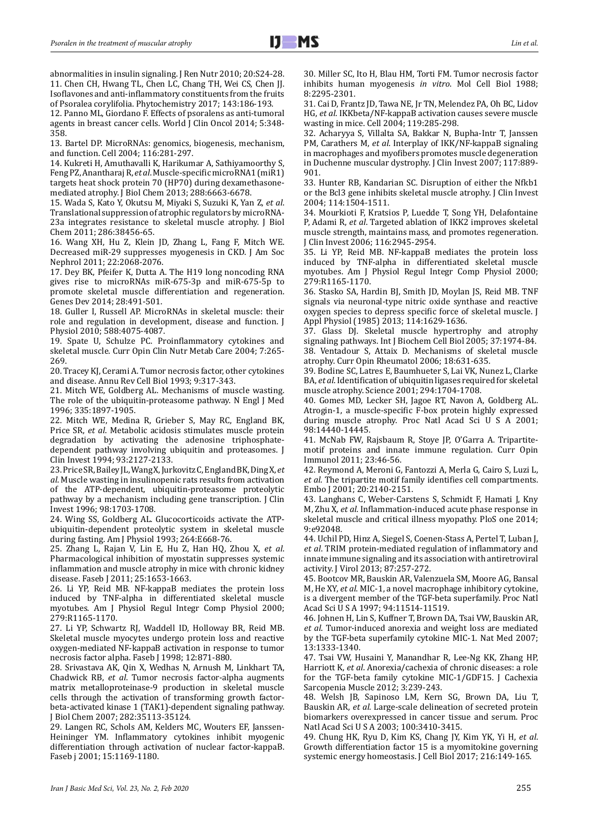abnormalities in insulin signaling. J Ren Nutr 2010; 20:S24-28. 11. Chen CH, Hwang TL, Chen LC, Chang TH, Wei CS, Chen JJ. Isoflavones and anti-inflammatory constituents from the fruits of Psoralea corylifolia. Phytochemistry 2017; 143:186-193.

12. Panno ML, Giordano F. Effects of psoralens as anti-tumoral agents in breast cancer cells. World J Clin Oncol 2014; 5:348- 358.

13. Bartel DP. MicroRNAs: genomics, biogenesis, mechanism, and function. Cell 2004; 116:281-297.

14. Kukreti H, Amuthavalli K, Harikumar A, Sathiyamoorthy S, Feng PZ, Anantharaj R, *et al*. Muscle-specific microRNA1 (miR1) targets heat shock protein 70 (HP70) during dexamethasonemediated atrophy. J Biol Chem 2013; 288:6663-6678.

15. Wada S, Kato Y, Okutsu M, Miyaki S, Suzuki K, Yan Z, *et al*. Translational suppression of atrophic regulators by microRNA-23a integrates resistance to skeletal muscle atrophy. J Biol Chem 2011; 286:38456-65.

16. Wang XH, Hu Z, Klein JD, Zhang L, Fang F, Mitch WE. Decreased miR-29 suppresses myogenesis in CKD. J Am Soc Nephrol 2011; 22:2068-2076.

17. Dey BK, Pfeifer K, Dutta A. The H19 long noncoding RNA gives rise to microRNAs miR-675-3p and miR-675-5p to promote skeletal muscle differentiation and regeneration. Genes Dev 2014; 28:491-501.

18. Guller I, Russell AP. MicroRNAs in skeletal muscle: their role and regulation in development, disease and function. J Physiol 2010; 588:4075-4087.

19. Spate U, Schulze PC. Proinflammatory cytokines and skeletal muscle. Curr Opin Clin Nutr Metab Care 2004; 7:265- 269.

20. Tracey KJ, Cerami A. Tumor necrosis factor, other cytokines and disease. Annu Rev Cell Biol 1993; 9:317-343.

21. Mitch WE, Goldberg AL. Mechanisms of muscle wasting. The role of the ubiquitin-proteasome pathway. N Engl J Med 1996; 335:1897-1905.

22. Mitch WE, Medina R, Grieber S, May RC, England BK, Price SR, *et al*. Metabolic acidosis stimulates muscle protein degradation by activating the adenosine triphosphatedependent pathway involving ubiquitin and proteasomes. J Clin Invest 1994; 93:2127-2133.

23. Price SR, Bailey JL, Wang X, Jurkovitz C, England BK, Ding X, *et al*. Muscle wasting in insulinopenic rats results from activation of the ATP-dependent, ubiquitin-proteasome proteolytic pathway by a mechanism including gene transcription. J Clin Invest 1996; 98:1703-1708.

24. Wing SS, Goldberg AL. Glucocorticoids activate the ATPubiquitin-dependent proteolytic system in skeletal muscle during fasting. Am J Physiol 1993; 264:E668-76.

25. Zhang L, Rajan V, Lin E, Hu Z, Han HQ, Zhou X, *et al*. Pharmacological inhibition of myostatin suppresses systemic inflammation and muscle atrophy in mice with chronic kidney disease. Faseb J 2011; 25:1653-1663.

26. Li YP, Reid MB. NF-kappaB mediates the protein loss induced by TNF-alpha in differentiated skeletal muscle myotubes. Am J Physiol Regul Integr Comp Physiol 2000; 279:R1165-1170.

27. Li YP, Schwartz RJ, Waddell ID, Holloway BR, Reid MB. Skeletal muscle myocytes undergo protein loss and reactive oxygen-mediated NF-kappaB activation in response to tumor necrosis factor alpha. Faseb J 1998; 12:871-880.

28. Srivastava AK, Qin X, Wedhas N, Arnush M, Linkhart TA, Chadwick RB, *et al*. Tumor necrosis factor-alpha augments matrix metalloproteinase-9 production in skeletal muscle cells through the activation of transforming growth factorbeta-activated kinase 1 (TAK1)-dependent signaling pathway. J Biol Chem 2007; 282:35113-35124.

29. Langen RC, Schols AM, Kelders MC, Wouters EF, Janssen-Heininger YM. Inflammatory cytokines inhibit myogenic differentiation through activation of nuclear factor-kappaB. Faseb j 2001; 15:1169-1180.

30. Miller SC, Ito H, Blau HM, Torti FM. Tumor necrosis factor inhibits human myogenesis *in vitro*. Mol Cell Biol 1988; 8:2295-2301.

31. Cai D, Frantz JD, Tawa NE, Jr TN, Melendez PA, Oh BC, Lidov HG, *et al*. IKKbeta/NF-kappaB activation causes severe muscle wasting in mice. Cell 2004; 119:285-298.

32. Acharyya S, Villalta SA, Bakkar N, Bupha-Intr T, Janssen PM, Carathers M, *et al*. Interplay of IKK/NF-kappaB signaling in macrophages and myofibers promotes muscle degeneration in Duchenne muscular dystrophy. J Clin Invest 2007; 117:889- 901.

33. Hunter RB, Kandarian SC. Disruption of either the Nfkb1 or the Bcl3 gene inhibits skeletal muscle atrophy. J Clin Invest 2004; 114:1504-1511.

34. Mourkioti F, Kratsios P, Luedde T, Song YH, Delafontaine P, Adami R, *et al*. Targeted ablation of IKK2 improves skeletal muscle strength, maintains mass, and promotes regeneration. J Clin Invest 2006; 116:2945-2954.

35. Li YP, Reid MB. NF-kappaB mediates the protein loss induced by TNF-alpha in differentiated skeletal muscle myotubes. Am J Physiol Regul Integr Comp Physiol 2000; 279:R1165-1170.

36. Stasko SA, Hardin BJ, Smith JD, Moylan JS, Reid MB. TNF signals via neuronal-type nitric oxide synthase and reactive oxygen species to depress specific force of skeletal muscle. J Appl Physiol (1985) 2013; 114:1629-1636.

37. Glass DJ. Skeletal muscle hypertrophy and atrophy signaling pathways. Int J Biochem Cell Biol 2005; 37:1974-84. 38. Ventadour S, Attaix D. Mechanisms of skeletal muscle atrophy. Curr Opin Rheumatol 2006; 18:631-635.

39. Bodine SC, Latres E, Baumhueter S, Lai VK, Nunez L, Clarke BA, *et al*. Identification of ubiquitin ligases required for skeletal muscle atrophy. Science 2001; 294:1704-1708.

40. Gomes MD, Lecker SH, Jagoe RT, Navon A, Goldberg AL. Atrogin-1, a muscle-specific F-box protein highly expressed during muscle atrophy. Proc Natl Acad Sci U S A 2001; 98:14440-14445.

41. McNab FW, Rajsbaum R, Stoye JP, O'Garra A. Tripartitemotif proteins and innate immune regulation. Curr Opin Immunol 2011; 23:46-56.

42. Reymond A, Meroni G, Fantozzi A, Merla G, Cairo S, Luzi L, *et al*. The tripartite motif family identifies cell compartments. Embo J 2001; 20:2140-2151.

43. Langhans C, Weber-Carstens S, Schmidt F, Hamati J, Kny M, Zhu X, *et al*. Inflammation-induced acute phase response in skeletal muscle and critical illness myopathy. PloS one 2014; 9:e92048.

44. Uchil PD, Hinz A, Siegel S, Coenen-Stass A, Pertel T, Luban J, *et al*. TRIM protein-mediated regulation of inflammatory and innate immune signaling and its association with antiretroviral activity. J Virol 2013; 87:257-272.

45. Bootcov MR, Bauskin AR, Valenzuela SM, Moore AG, Bansal M, He XY, *et al*. MIC-1, a novel macrophage inhibitory cytokine, is a divergent member of the TGF-beta superfamily. Proc Natl Acad Sci U S A 1997; 94:11514-11519.

46. Johnen H, Lin S, Kuffner T, Brown DA, Tsai VW, Bauskin AR, *et al*. Tumor-induced anorexia and weight loss are mediated by the TGF-beta superfamily cytokine MIC-1. Nat Med 2007; 13:1333-1340.

47. Tsai VW, Husaini Y, Manandhar R, Lee-Ng KK, Zhang HP, Harriott K, *et al*. Anorexia/cachexia of chronic diseases: a role for the TGF-beta family cytokine MIC-1/GDF15. J Cachexia Sarcopenia Muscle 2012; 3:239-243.

48. Welsh JB, Sapinoso LM, Kern SG, Brown DA, Liu T, Bauskin AR, *et al*. Large-scale delineation of secreted protein biomarkers overexpressed in cancer tissue and serum. Proc Natl Acad Sci U S A 2003; 100:3410-3415.

49. Chung HK, Ryu D, Kim KS, Chang JY, Kim YK, Yi H, *et al*. Growth differentiation factor 15 is a myomitokine governing systemic energy homeostasis. J Cell Biol 2017; 216:149-165.